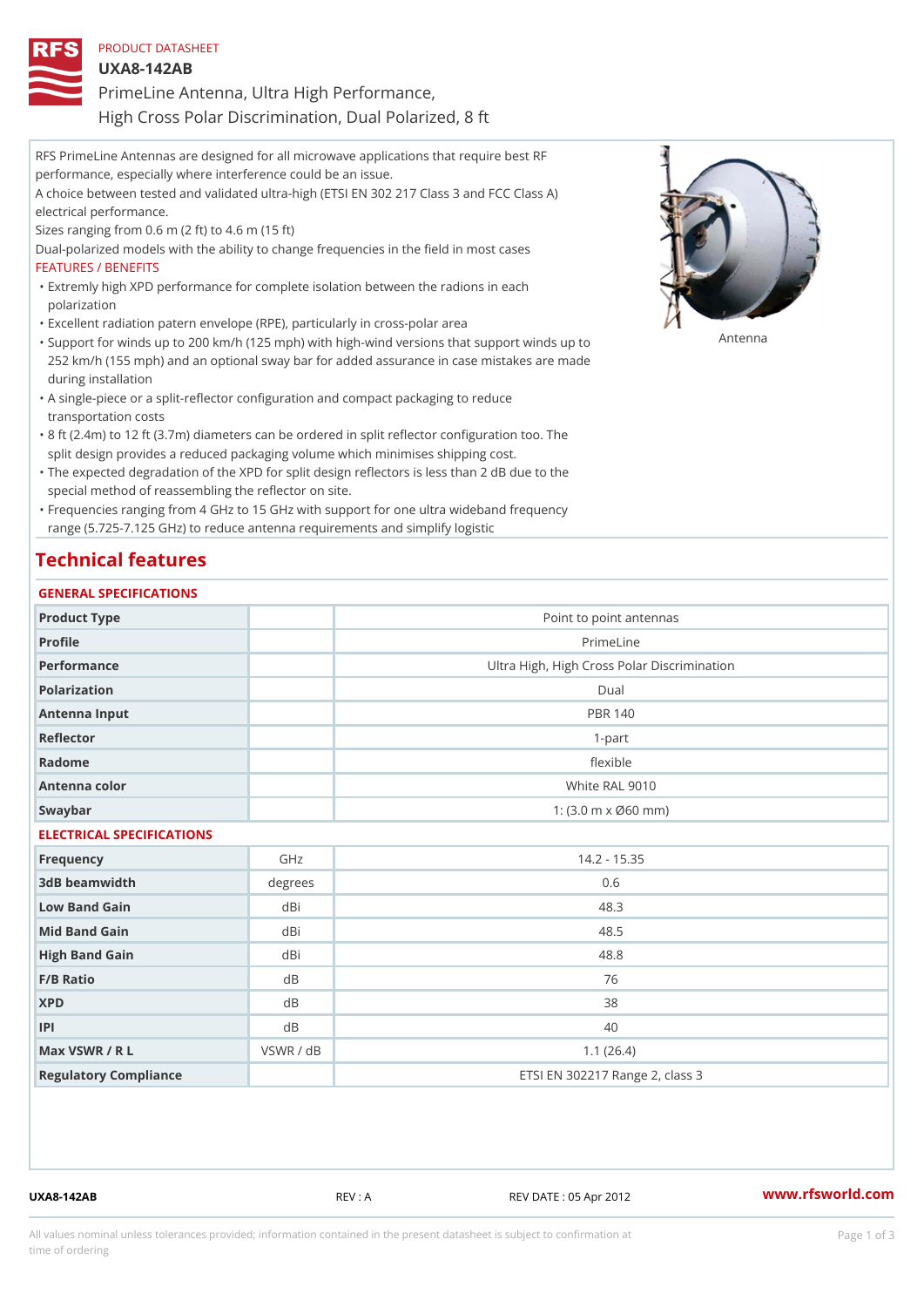| PRODUCT DATASHEET |  |                                            |  |  |
|-------------------|--|--------------------------------------------|--|--|
| $UXA8-142AB$      |  |                                            |  |  |
|                   |  | PrimeLine Antenna, Ultra High Performance, |  |  |

High Cross Polar Discrimination, Dual Polarized, 8 ft

| RFS PrimeLine Antennas are designed for all microwave applications that require best RF         |
|-------------------------------------------------------------------------------------------------|
| performance, especially where interference could be an issue.                                   |
| A choice between tested and validated ultra-high (ETSI EN 302 217 Class 3 and FCC Class A)      |
| electrical performance.                                                                         |
| Sizes ranging from $0.6$ m $(2 \text{ ft})$ to $4.6$ m $(15 \text{ ft})$                        |
| Dual-polarized models with the ability to change frequencies in the field in most cases         |
| FEATURES / BENEFITS                                                                             |
| "Extremly high XPD performance for complete isolation between the radions in each               |
| polarization                                                                                    |
| "Excellent radiation patern envelope (RPE), particularly in cross-polar area                    |
| "Support for winds up to 200 km/h (125 mph) with high-wind versions that suββዕየt โฟ-nds up to   |
| 252 km/h (155 mph) and an optional sway bar for added assurance in case mistakes are made       |
| during installation                                                                             |
| "A single-piece or a split-reflector configuration and compact packaging to reduce              |
| transportation costs                                                                            |
| "8 ft (2.4m) to 12 ft (3.7m) diameters can be ordered in split reflector configuration too. The |
| split design provides a reduced packaging volume which minimises shipping cost.                 |
| "The expected degradation of the XPD for split design reflectors is less than 2 dB due to the   |

special method of reassembling the reflector on site. Frequencies ranging from 4 GHz to 15 GHz with support for one ultra wideband frequency "

range (5.725-7.125 GHz) to reduce antenna requirements and simplify logistic

## Technical features

#### GENERAL SPECIFICATIONS

| Product Type              |           | Point to point antennas                                 |  |
|---------------------------|-----------|---------------------------------------------------------|--|
| Profile                   |           | PrimeLine                                               |  |
| Performance               |           | Ultra High, High Cross Polar Discrimination             |  |
| Polarization              |           | Dual                                                    |  |
| Antenna Input             |           | <b>PBR 140</b>                                          |  |
| Reflector                 |           | $1 - p$ art                                             |  |
| Radome                    |           | flexible                                                |  |
| Antenna color             |           | White RAL 9010                                          |  |
| Swaybar                   |           | 1: $(3.0 \, \text{m} \times \emptyset 60 \, \text{mm})$ |  |
| ELECTRICAL SPECIFICATIONS |           |                                                         |  |
| Frequency                 | GHz       | $14.2 - 15.35$                                          |  |
| 3dB beamwidth             | degree    | 0.6                                                     |  |
| Low Band Gain             | dBi       | 48.3                                                    |  |
| Mid Band Gain             | dBi       | 48.5                                                    |  |
| High Band Gain            | dBi       | 48.8                                                    |  |
| F/B Ratio                 | d B       | 76                                                      |  |
| <b>XPD</b>                | d B       | 38                                                      |  |
| P                         | d B       | 40                                                      |  |
| Max VSWR / R L            | VSWR / dB | 1.1(26.4)                                               |  |
| Regulatory Compliance     |           | ETSI EN 302217 Range 2, class 3                         |  |

UXA8-142AB REV : A REV DATE : 05 Apr 2012 [www.](https://www.rfsworld.com)rfsworld.com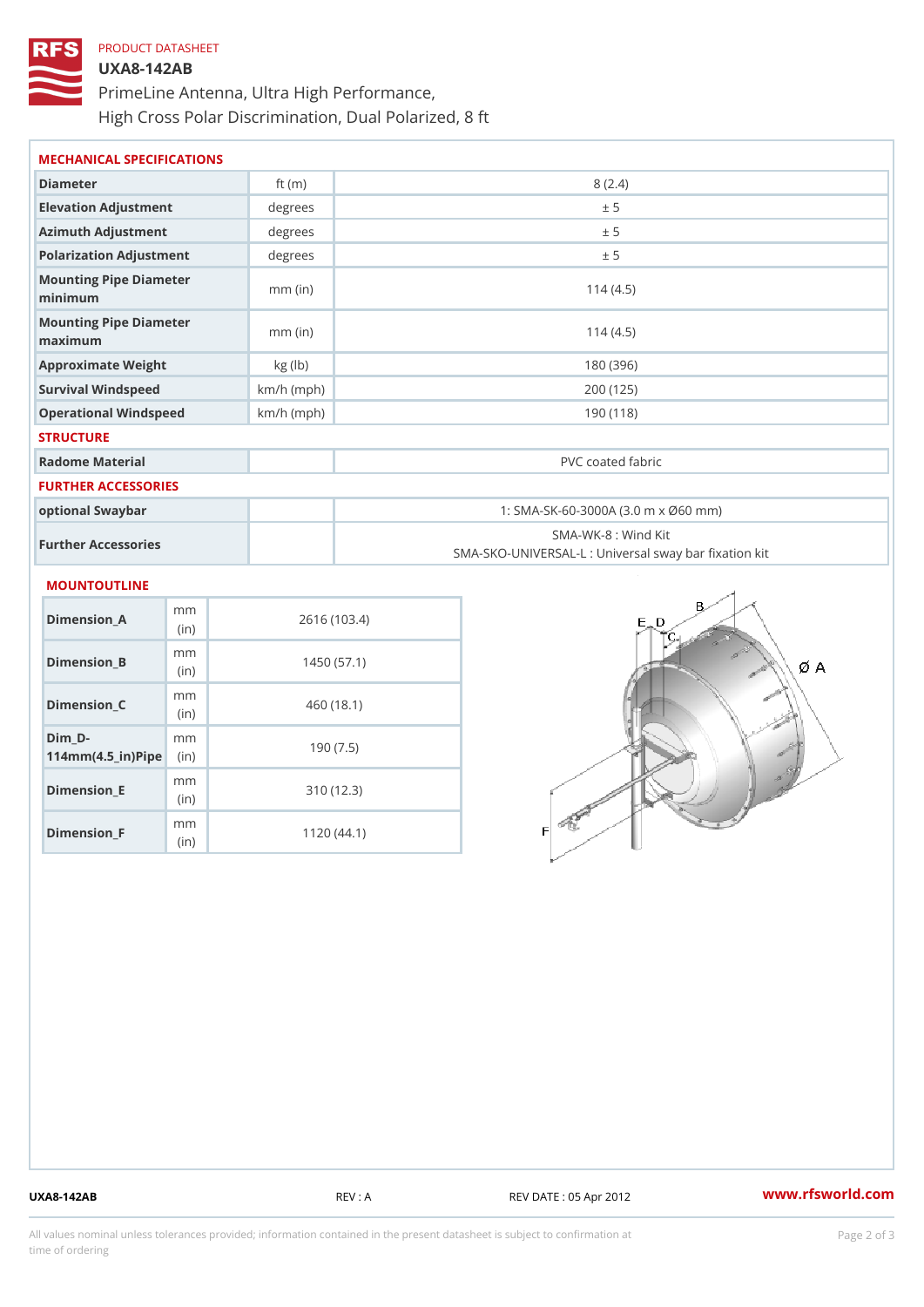# PRODUCT DATASHEET UXA8-142AB PrimeLine Antenna, Ultra High Performance, High Cross Polar Discrimination, Dual Polarized, 8 ft

| Diameter<br>8(2.4)<br>ft $(m)$<br>Elevation Adjustment<br>degrees<br>± 5<br>Azimuth Adjustment<br>degree:<br>± 5<br>degree:<br>Polarization Adjustment<br>± 5<br>Mounting Pipe Diameter<br>114(4.5)<br>$mm$ (in)<br>minimum<br>Mounting Pipe Diameter |  |
|-------------------------------------------------------------------------------------------------------------------------------------------------------------------------------------------------------------------------------------------------------|--|
|                                                                                                                                                                                                                                                       |  |
|                                                                                                                                                                                                                                                       |  |
|                                                                                                                                                                                                                                                       |  |
|                                                                                                                                                                                                                                                       |  |
|                                                                                                                                                                                                                                                       |  |
| $mm$ (in)<br>114(4.5)<br>maximum                                                                                                                                                                                                                      |  |
| kg (lb)<br>180 (396)<br>Approximate Weight                                                                                                                                                                                                            |  |
| Survival Windspeed<br>$km/h$ (mph)<br>200 (125)                                                                                                                                                                                                       |  |
| $km/h$ (mph)<br>190 (118)<br>Operational Windspeed                                                                                                                                                                                                    |  |
| <b>STRUCTURE</b>                                                                                                                                                                                                                                      |  |
| Radome Material<br>PVC coated fabric                                                                                                                                                                                                                  |  |
| FURTHER ACCESSORIES                                                                                                                                                                                                                                   |  |
| optional Swaybar<br>1: SMA-SK-60-3000A (3.0 m x Ø60 mm)                                                                                                                                                                                               |  |
| SMA-WK-8: Wind Kit<br>Further Accessories<br>SMA-SKO-UNIVERSAL-L : Universal sway bar fixation                                                                                                                                                        |  |
| MOUNTOUTLINE                                                                                                                                                                                                                                          |  |
| m <sub>m</sub><br>2616 (103.4)<br>Dimension A<br>(in)                                                                                                                                                                                                 |  |
| m <sub>m</sub><br>Dimension B<br>1450(57.1)<br>(in)                                                                                                                                                                                                   |  |

Dimension\_C

Dimension\_E

Dimension\_F

 $114$  m m (4.5 \_ i r )  $\sqrt{$  ii p  $\ge$ 

Dim\_D-

m m (in)

m m

mm (in)

m<sub>m</sub> (in)

460 (18.1)

190 (7.5)

310 (12.3)

1120 (44.1)

UXA8-142AB REV : A REV DATE : 05 Apr 2012 [www.](https://www.rfsworld.com)rfsworld.com